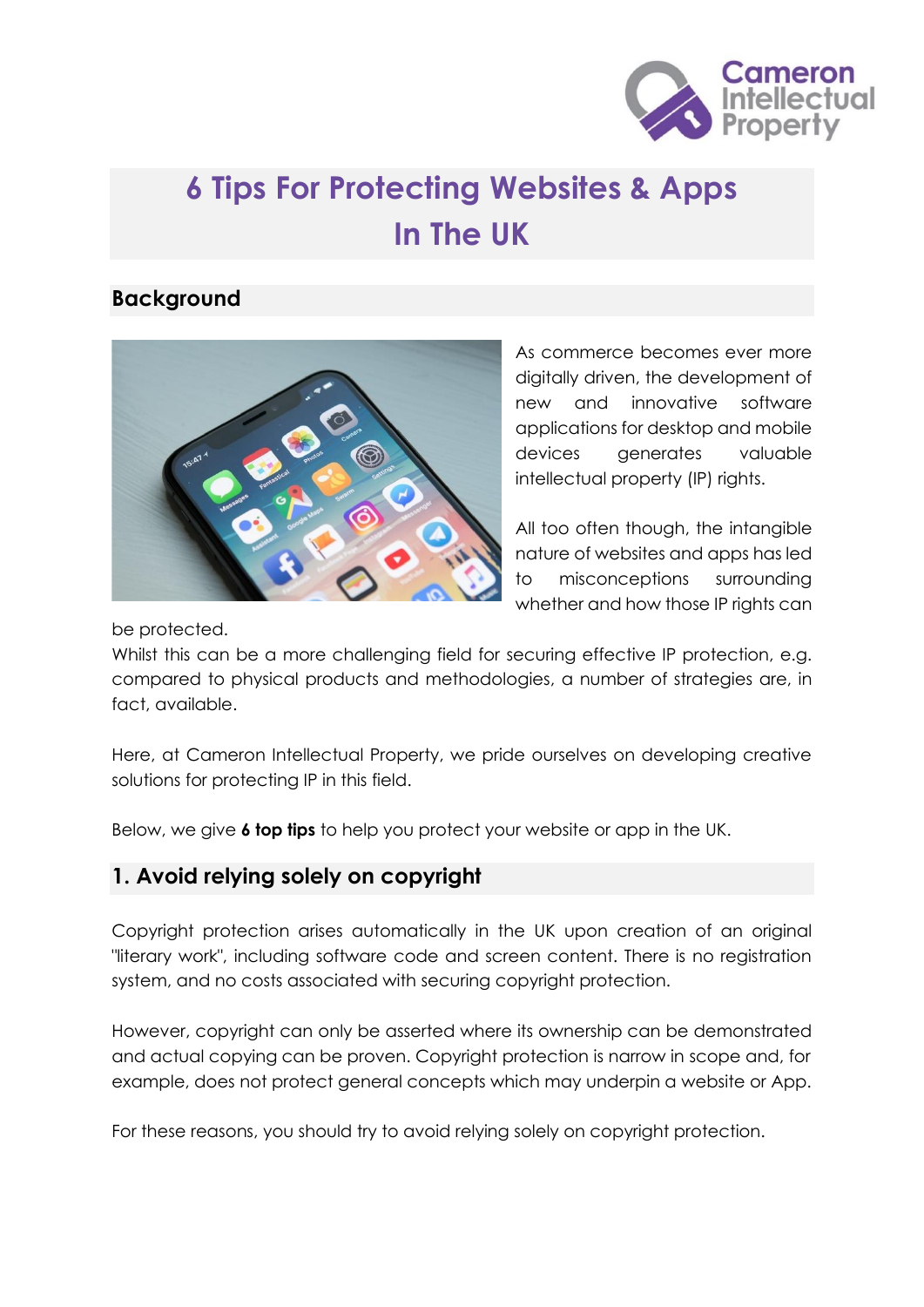

# **6 Tips For Protecting Websites & Apps In The UK**

#### **Background**



As commerce becomes ever more digitally driven, the development of new and innovative software applications for desktop and mobile devices generates valuable intellectual property (IP) rights.

All too often though, the intangible nature of websites and apps has led to misconceptions surrounding whether and how those IP rights can

be protected.

Whilst this can be a more challenging field for securing effective IP protection, e.g. compared to physical products and methodologies, a number of strategies are, in fact, available.

Here, at Cameron Intellectual Property, we pride ourselves on developing creative solutions for protecting IP in this field.

Below, we give **6 top tips** to help you protect your website or app in the UK.

#### **1. Avoid relying solely on copyright**

Copyright protection arises automatically in the UK upon creation of an original "literary work", including software code and screen content. There is no registration system, and no costs associated with securing copyright protection.

However, copyright can only be asserted where its ownership can be demonstrated and actual copying can be proven. Copyright protection is narrow in scope and, for example, does not protect general concepts which may underpin a website or App.

For these reasons, you should try to avoid relying solely on copyright protection.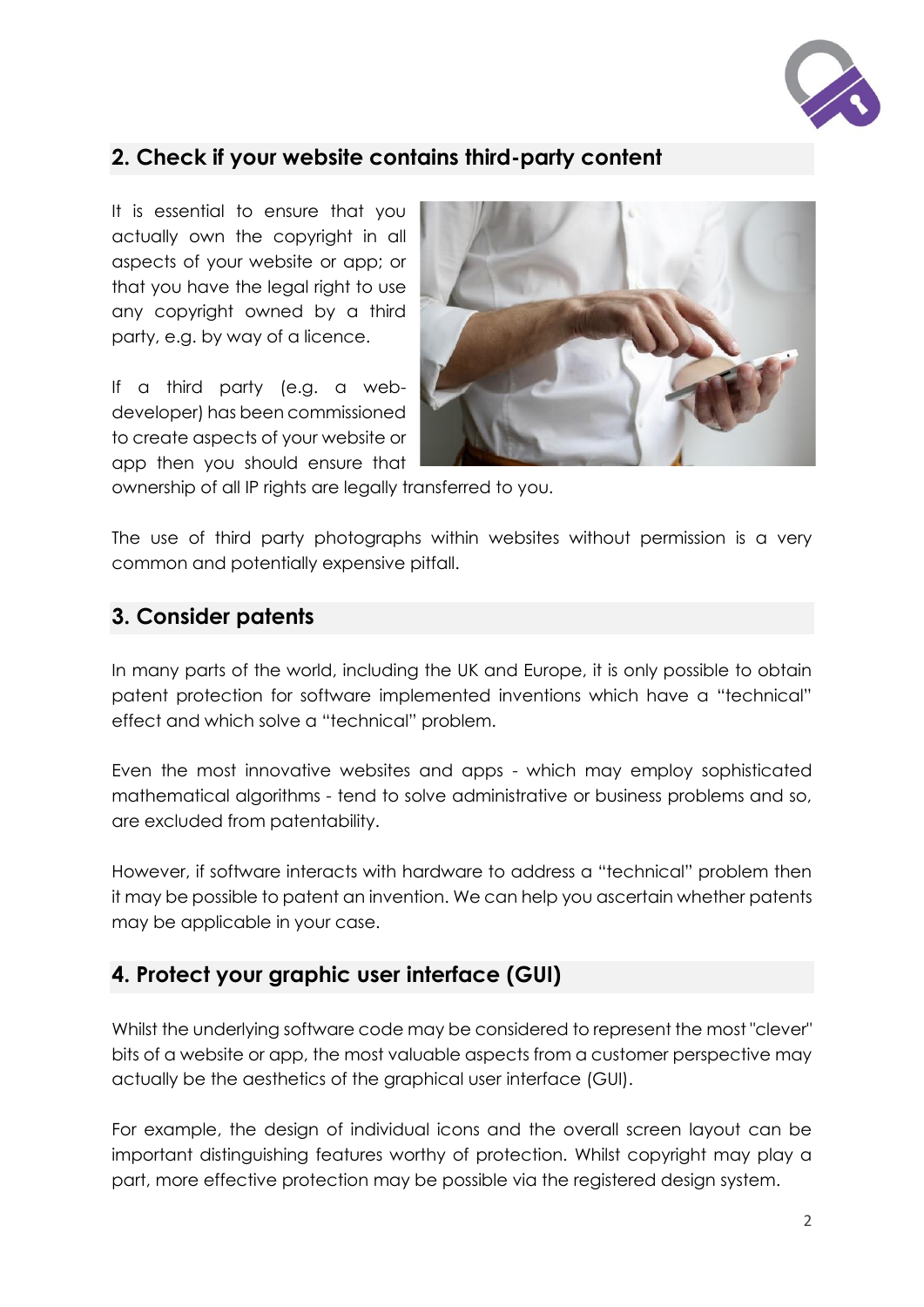

## **2. Check if your website contains third-party content**

It is essential to ensure that you actually own the copyright in all aspects of your website or app; or that you have the legal right to use any copyright owned by a third party, e.g. by way of a licence.

If a third party (e.g. a webdeveloper) has been commissioned to create aspects of your website or app then you should ensure that



ownership of all IP rights are legally transferred to you.

The use of third party photographs within websites without permission is a very common and potentially expensive pitfall.

#### **3. Consider patents**

In many parts of the world, including the UK and Europe, it is only possible to obtain patent protection for software implemented inventions which have a "technical" effect and which solve a "technical" problem.

Even the most innovative websites and apps - which may employ sophisticated mathematical algorithms - tend to solve administrative or business problems and so, are excluded from patentability.

However, if software interacts with hardware to address a "technical" problem then it may be possible to patent an invention. We can help you ascertain whether patents may be applicable in your case.

## **4. Protect your graphic user interface (GUI)**

Whilst the underlying software code may be considered to represent the most "clever" bits of a website or app, the most valuable aspects from a customer perspective may actually be the aesthetics of the graphical user interface (GUI).

For example, the design of individual icons and the overall screen layout can be important distinguishing features worthy of protection. Whilst copyright may play a part, more effective protection may be possible via the registered design system.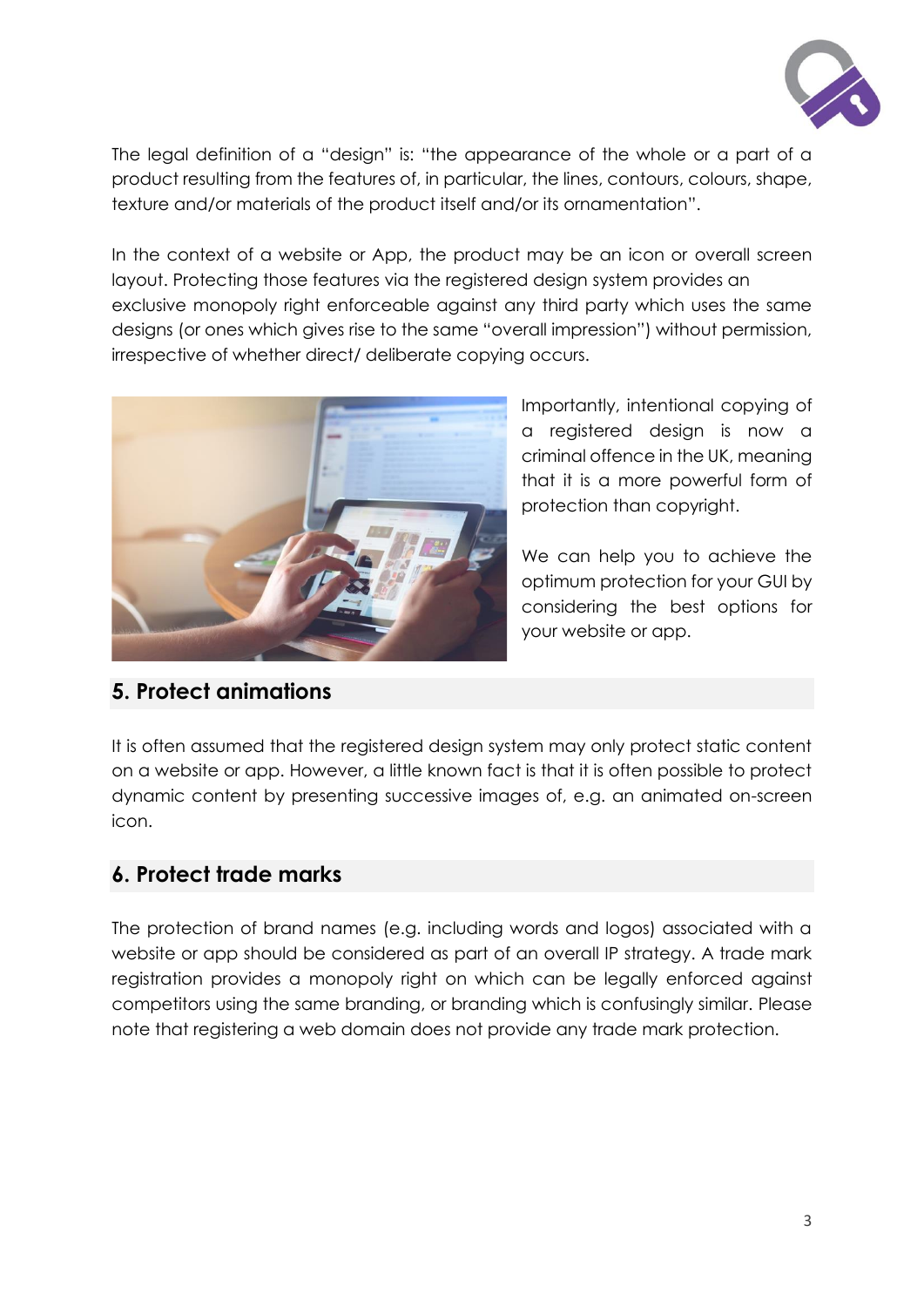

The legal definition of a "design" is: "the appearance of the whole or a part of a product resulting from the features of, in particular, the lines, contours, colours, shape, texture and/or materials of the product itself and/or its ornamentation".

In the context of a website or App, the product may be an icon or overall screen layout. Protecting those features via the registered design system provides an exclusive monopoly right enforceable against any third party which uses the same designs (or ones which gives rise to the same "overall impression") without permission, irrespective of whether direct/ deliberate copying occurs.



Importantly, intentional copying of a registered design is now a criminal offence in the UK, meaning that it is a more powerful form of protection than copyright.

We can help you to achieve the optimum protection for your GUI by considering the best options for your website or app.

## **5. Protect animations**

It is often assumed that the registered design system may only protect static content on a website or app. However, a little known fact is that it is often possible to protect dynamic content by presenting successive images of, e.g. an animated on-screen icon.

## **6. Protect trade marks**

The protection of brand names (e.g. including words and logos) associated with a website or app should be considered as part of an overall IP strategy. A trade mark registration provides a monopoly right on which can be legally enforced against competitors using the same branding, or branding which is confusingly similar. Please note that registering a web domain does not provide any trade mark protection.